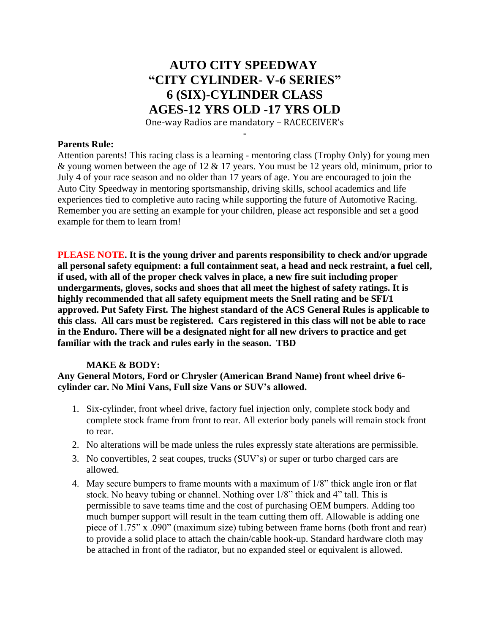# **AUTO CITY SPEEDWAY "CITY CYLINDER- V-6 SERIES" 6 (SIX)-CYLINDER CLASS AGES-12 YRS OLD -17 YRS OLD**

One-way Radios are mandatory – RACECEIVER's **-**

#### **Parents Rule:**

Attention parents! This racing class is a learning - mentoring class (Trophy Only) for young men & young women between the age of 12 & 17 years. You must be 12 years old, minimum, prior to July 4 of your race season and no older than 17 years of age. You are encouraged to join the Auto City Speedway in mentoring sportsmanship, driving skills, school academics and life experiences tied to completive auto racing while supporting the future of Automotive Racing. Remember you are setting an example for your children, please act responsible and set a good example for them to learn from!

**PLEASE NOTE. It is the young driver and parents responsibility to check and/or upgrade all personal safety equipment: a full containment seat, a head and neck restraint, a fuel cell, if used, with all of the proper check valves in place, a new fire suit including proper undergarments, gloves, socks and shoes that all meet the highest of safety ratings. It is highly recommended that all safety equipment meets the Snell rating and be SFI/1 approved. Put Safety First. The highest standard of the ACS General Rules is applicable to this class. All cars must be registered. Cars registered in this class will not be able to race in the Enduro. There will be a designated night for all new drivers to practice and get familiar with the track and rules early in the season. TBD**

### **MAKE & BODY:**

**Any General Motors, Ford or Chrysler (American Brand Name) front wheel drive 6 cylinder car. No Mini Vans, Full size Vans or SUV's allowed.**

- 1. Six-cylinder, front wheel drive, factory fuel injection only, complete stock body and complete stock frame from front to rear. All exterior body panels will remain stock front to rear.
- 2. No alterations will be made unless the rules expressly state alterations are permissible.
- 3. No convertibles, 2 seat coupes, trucks (SUV's) or super or turbo charged cars are allowed.
- 4. May secure bumpers to frame mounts with a maximum of 1/8" thick angle iron or flat stock. No heavy tubing or channel. Nothing over 1/8" thick and 4" tall. This is permissible to save teams time and the cost of purchasing OEM bumpers. Adding too much bumper support will result in the team cutting them off. Allowable is adding one piece of 1.75" x .090" (maximum size) tubing between frame horns (both front and rear) to provide a solid place to attach the chain/cable hook-up. Standard hardware cloth may be attached in front of the radiator, but no expanded steel or equivalent is allowed.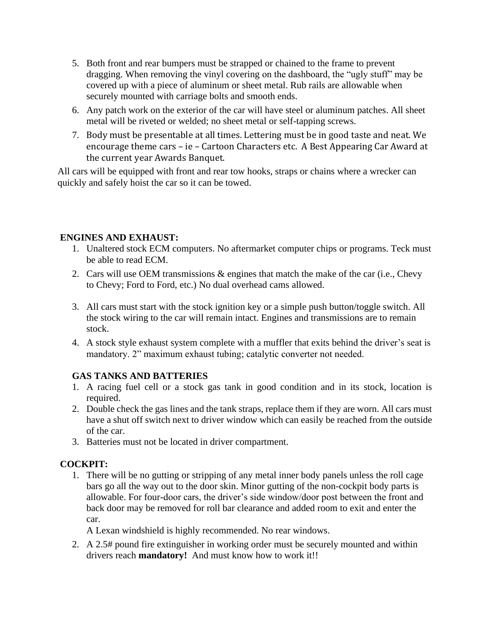- 5. Both front and rear bumpers must be strapped or chained to the frame to prevent dragging. When removing the vinyl covering on the dashboard, the "ugly stuff" may be covered up with a piece of aluminum or sheet metal. Rub rails are allowable when securely mounted with carriage bolts and smooth ends.
- 6. Any patch work on the exterior of the car will have steel or aluminum patches. All sheet metal will be riveted or welded; no sheet metal or self-tapping screws.
- 7. Body must be presentable at all times. Lettering must be in good taste and neat. We encourage theme cars – ie – Cartoon Characters etc. A Best Appearing Car Award at the current year Awards Banquet.

All cars will be equipped with front and rear tow hooks, straps or chains where a wrecker can quickly and safely hoist the car so it can be towed.

## **ENGINES AND EXHAUST:**

- 1. Unaltered stock ECM computers. No aftermarket computer chips or programs. Teck must be able to read ECM.
- 2. Cars will use OEM transmissions & engines that match the make of the car (i.e., Chevy to Chevy; Ford to Ford, etc.) No dual overhead cams allowed.
- 3. All cars must start with the stock ignition key or a simple push button/toggle switch. All the stock wiring to the car will remain intact. Engines and transmissions are to remain stock.
- 4. A stock style exhaust system complete with a muffler that exits behind the driver's seat is mandatory. 2" maximum exhaust tubing; catalytic converter not needed.

# **GAS TANKS AND BATTERIES**

- 1. A racing fuel cell or a stock gas tank in good condition and in its stock, location is required.
- 2. Double check the gas lines and the tank straps, replace them if they are worn. All cars must have a shut off switch next to driver window which can easily be reached from the outside of the car.
- 3. Batteries must not be located in driver compartment.

# **COCKPIT:**

1. There will be no gutting or stripping of any metal inner body panels unless the roll cage bars go all the way out to the door skin. Minor gutting of the non-cockpit body parts is allowable. For four-door cars, the driver's side window/door post between the front and back door may be removed for roll bar clearance and added room to exit and enter the car.

A Lexan windshield is highly recommended. No rear windows.

2. A 2.5# pound fire extinguisher in working order must be securely mounted and within drivers reach **mandatory!** And must know how to work it!!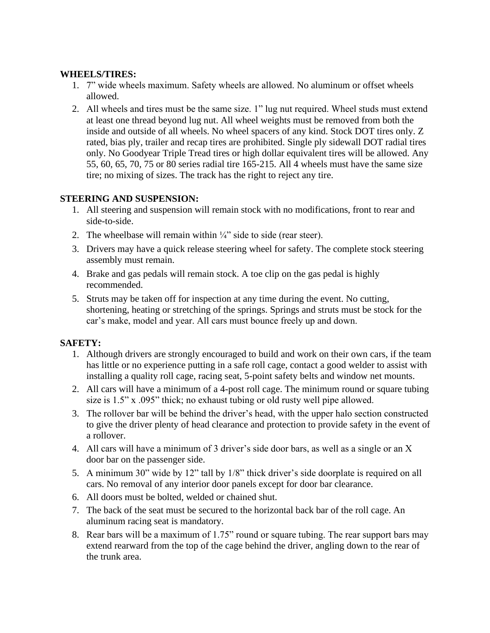### **WHEELS/TIRES:**

- 1. 7" wide wheels maximum. Safety wheels are allowed. No aluminum or offset wheels allowed.
- 2. All wheels and tires must be the same size. 1" lug nut required. Wheel studs must extend at least one thread beyond lug nut. All wheel weights must be removed from both the inside and outside of all wheels. No wheel spacers of any kind. Stock DOT tires only. Z rated, bias ply, trailer and recap tires are prohibited. Single ply sidewall DOT radial tires only. No Goodyear Triple Tread tires or high dollar equivalent tires will be allowed. Any 55, 60, 65, 70, 75 or 80 series radial tire 165-215. All 4 wheels must have the same size tire; no mixing of sizes. The track has the right to reject any tire.

### **STEERING AND SUSPENSION:**

- 1. All steering and suspension will remain stock with no modifications, front to rear and side-to-side.
- 2. The wheelbase will remain within  $\frac{1}{4}$  side to side (rear steer).
- 3. Drivers may have a quick release steering wheel for safety. The complete stock steering assembly must remain.
- 4. Brake and gas pedals will remain stock. A toe clip on the gas pedal is highly recommended.
- 5. Struts may be taken off for inspection at any time during the event. No cutting, shortening, heating or stretching of the springs. Springs and struts must be stock for the car's make, model and year. All cars must bounce freely up and down.

# **SAFETY:**

- 1. Although drivers are strongly encouraged to build and work on their own cars, if the team has little or no experience putting in a safe roll cage, contact a good welder to assist with installing a quality roll cage, racing seat, 5-point safety belts and window net mounts.
- 2. All cars will have a minimum of a 4-post roll cage. The minimum round or square tubing size is 1.5" x .095" thick; no exhaust tubing or old rusty well pipe allowed.
- 3. The rollover bar will be behind the driver's head, with the upper halo section constructed to give the driver plenty of head clearance and protection to provide safety in the event of a rollover.
- 4. All cars will have a minimum of 3 driver's side door bars, as well as a single or an X door bar on the passenger side.
- 5. A minimum 30" wide by 12" tall by 1/8" thick driver's side doorplate is required on all cars. No removal of any interior door panels except for door bar clearance.
- 6. All doors must be bolted, welded or chained shut.
- 7. The back of the seat must be secured to the horizontal back bar of the roll cage. An aluminum racing seat is mandatory.
- 8. Rear bars will be a maximum of 1.75" round or square tubing. The rear support bars may extend rearward from the top of the cage behind the driver, angling down to the rear of the trunk area.